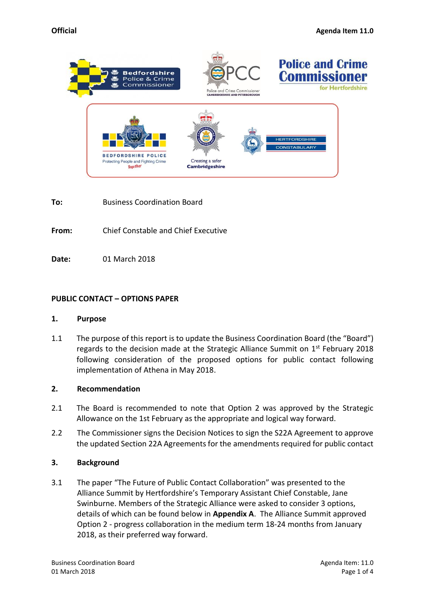

**To:** Business Coordination Board

**From:** Chief Constable and Chief Executive

**Date:** 01 March 2018

# **PUBLIC CONTACT – OPTIONS PAPER**

### **1. Purpose**

1.1 The purpose of this report is to update the Business Coordination Board (the "Board") regards to the decision made at the Strategic Alliance Summit on  $1<sup>st</sup>$  February 2018 following consideration of the proposed options for public contact following implementation of Athena in May 2018.

### **2. Recommendation**

- 2.1 The Board is recommended to note that Option 2 was approved by the Strategic Allowance on the 1st February as the appropriate and logical way forward.
- 2.2 The Commissioner signs the Decision Notices to sign the S22A Agreement to approve the updated Section 22A Agreements for the amendments required for public contact

### **3. Background**

3.1 The paper "The Future of Public Contact Collaboration" was presented to the Alliance Summit by Hertfordshire's Temporary Assistant Chief Constable, Jane Swinburne. Members of the Strategic Alliance were asked to consider 3 options, details of which can be found below in **Appendix A**. The Alliance Summit approved Option 2 - progress collaboration in the medium term 18-24 months from January 2018, as their preferred way forward.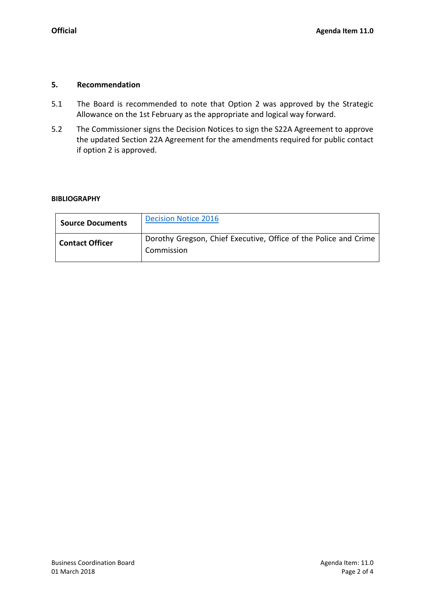# **5. Recommendation**

- 5.1 The Board is recommended to note that Option 2 was approved by the Strategic Allowance on the 1st February as the appropriate and logical way forward.
- 5.2 The Commissioner signs the Decision Notices to sign the S22A Agreement to approve the updated Section 22A Agreement for the amendments required for public contact if option 2 is approved.

# **BIBLIOGRAPHY**

| <b>Source Documents</b> | <b>Decision Notice 2016</b>                                                    |
|-------------------------|--------------------------------------------------------------------------------|
| <b>Contact Officer</b>  | Dorothy Gregson, Chief Executive, Office of the Police and Crime<br>Commission |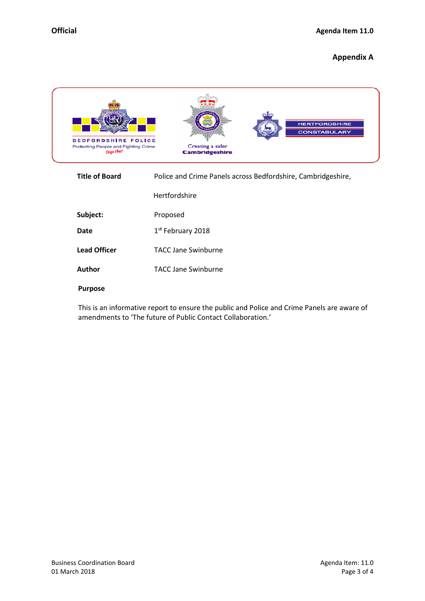### **Appendix A**



| <b>Title of Board</b> | Police and Crime Panels across Bedfordshire, Cambridgeshire, |
|-----------------------|--------------------------------------------------------------|
|                       | Hertfordshire                                                |
| Subject:              | Proposed                                                     |
| <b>Date</b>           | 1 <sup>st</sup> February 2018                                |
| <b>Lead Officer</b>   | <b>TACC Jane Swinburne</b>                                   |
| Author                | <b>TACC Jane Swinburne</b>                                   |
|                       |                                                              |

#### **Purpose**

This is an informative report to ensure the public and Police and Crime Panels are aware of amendments to 'The future of Public Contact Collaboration.'